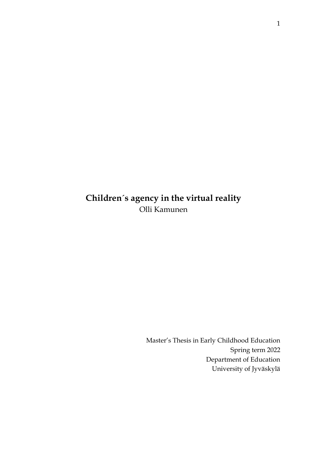# **Children´s agency in the virtual reality** Olli Kamunen

Master's Thesis in Early Childhood Education Spring term 2022 Department of Education University of Jyväskylä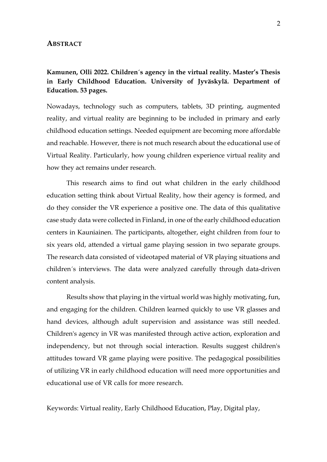#### **ABSTRACT**

## **Kamunen, Olli 2022. Children´s agency in the virtual reality. Master's Thesis in Early Childhood Education. University of Jyväskylä. Department of Education. 53 pages.**

Nowadays, technology such as computers, tablets, 3D printing, augmented reality, and virtual reality are beginning to be included in primary and early childhood education settings. Needed equipment are becoming more affordable and reachable. However, there is not much research about the educational use of Virtual Reality. Particularly, how young children experience virtual reality and how they act remains under research.

This research aims to find out what children in the early childhood education setting think about Virtual Reality, how their agency is formed, and do they consider the VR experience a positive one. The data of this qualitative case study data were collected in Finland, in one of the early childhood education centers in Kauniainen. The participants, altogether, eight children from four to six years old, attended a virtual game playing session in two separate groups. The research data consisted of videotaped material of VR playing situations and children´s interviews. The data were analyzed carefully through data-driven content analysis.

Results show that playing in the virtual world was highly motivating, fun, and engaging for the children. Children learned quickly to use VR glasses and hand devices, although adult supervision and assistance was still needed. Children's agency in VR was manifested through active action, exploration and independency, but not through social interaction. Results suggest children's attitudes toward VR game playing were positive. The pedagogical possibilities of utilizing VR in early childhood education will need more opportunities and educational use of VR calls for more research.

Keywords: Virtual reality, Early Childhood Education, Play, Digital play,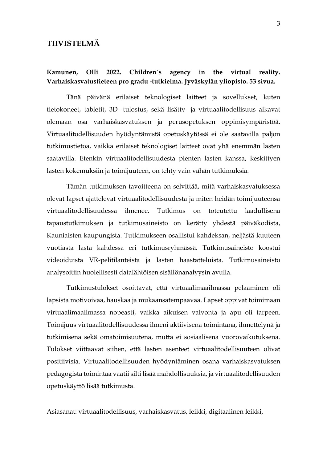### **TIIVISTELMÄ**

### **Kamunen, Olli 2022. Children´s agency in the virtual reality. Varhaiskasvatustieteen pro gradu -tutkielma. Jyväskylän yliopisto. 53 sivua.**

Tänä päivänä erilaiset teknologiset laitteet ja sovellukset, kuten tietokoneet, tabletit, 3D- tulostus, sekä lisätty- ja virtuaalitodellisuus alkavat olemaan osa varhaiskasvatuksen ja perusopetuksen oppimisympäristöä. Virtuaalitodellisuuden hyödyntämistä opetuskäytössä ei ole saatavilla paljon tutkimustietoa, vaikka erilaiset teknologiset laitteet ovat yhä enemmän lasten saatavilla. Etenkin virtuaalitodellisuudesta pienten lasten kanssa, keskittyen lasten kokemuksiin ja toimijuuteen, on tehty vain vähän tutkimuksia.

Tämän tutkimuksen tavoitteena on selvittää, mitä varhaiskasvatuksessa olevat lapset ajattelevat virtuaalitodellisuudesta ja miten heidän toimijuuteensa virtuaalitodellisuudessa ilmenee. Tutkimus on toteutettu laadullisena tapaustutkimuksen ja tutkimusaineisto on kerätty yhdestä päiväkodista, Kauniaisten kaupungista. Tutkimukseen osallistui kahdeksan, neljästä kuuteen vuotiasta lasta kahdessa eri tutkimusryhmässä. Tutkimusaineisto koostui videoiduista VR-pelitilanteista ja lasten haastatteluista. Tutkimusaineisto analysoitiin huolellisesti datalähtöisen sisällönanalyysin avulla.

Tutkimustulokset osoittavat, että virtuaalimaailmassa pelaaminen oli lapsista motivoivaa, hauskaa ja mukaansatempaavaa. Lapset oppivat toimimaan virtuaalimaailmassa nopeasti, vaikka aikuisen valvonta ja apu oli tarpeen. Toimijuus virtuaalitodellisuudessa ilmeni aktiivisena toimintana, ihmettelynä ja tutkimisena sekä omatoimisuutena, mutta ei sosiaalisena vuorovaikutuksena. Tulokset viittaavat siihen, että lasten asenteet virtuaalitodellisuuteen olivat positiivisia. Virtuaalitodellisuuden hyödyntäminen osana varhaiskasvatuksen pedagogista toimintaa vaatii silti lisää mahdollisuuksia, ja virtuaalitodellisuuden opetuskäyttö lisää tutkimusta.

Asiasanat: virtuaalitodellisuus, varhaiskasvatus, leikki, digitaalinen leikki,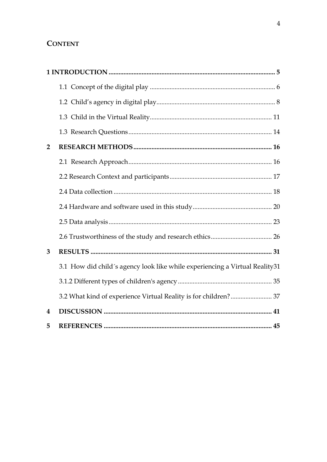# **CONTENT**

| $\overline{2}$   |                                                                             |  |
|------------------|-----------------------------------------------------------------------------|--|
|                  |                                                                             |  |
|                  |                                                                             |  |
|                  |                                                                             |  |
|                  |                                                                             |  |
|                  |                                                                             |  |
|                  |                                                                             |  |
| 3                |                                                                             |  |
|                  | 3.1 How did child's agency look like while experiencing a Virtual Reality31 |  |
|                  |                                                                             |  |
|                  | 3.2 What kind of experience Virtual Reality is for children? 37             |  |
| $\boldsymbol{4}$ |                                                                             |  |
| 5                |                                                                             |  |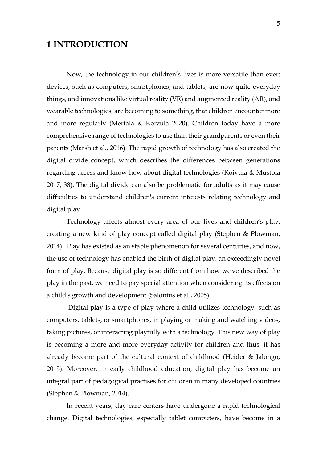# <span id="page-4-0"></span>**1 INTRODUCTION**

Now, the technology in our children's lives is more versatile than ever: devices, such as computers, smartphones, and tablets, are now quite everyday things, and innovations like virtual reality (VR) and augmented reality (AR), and wearable technologies, are becoming to something, that children encounter more and more regularly (Mertala & Koivula 2020). Children today have a more comprehensive range of technologies to use than their grandparents or even their parents (Marsh et al., 2016). The rapid growth of technology has also created the digital divide concept, which describes the differences between generations regarding access and know-how about digital technologies (Koivula & Mustola 2017, 38). The digital divide can also be problematic for adults as it may cause difficulties to understand children's current interests relating technology and digital play.

Technology affects almost every area of our lives and children's play, creating a new kind of play concept called digital play (Stephen & Plowman, 2014). Play has existed as an stable phenomenon for several centuries, and now, the use of technology has enabled the birth of digital play, an exceedingly novel form of play. Because digital play is so different from how we've described the play in the past, we need to pay special attention when considering its effects on a child's growth and development (Salonius et al., 2005).

Digital play is a type of play where a child utilizes technology, such as computers, tablets, or smartphones, in playing or making and watching videos, taking pictures, or interacting playfully with a technology. This new way of play is becoming a more and more everyday activity for children and thus, it has already become part of the cultural context of childhood (Heider & Jalongo, 2015). Moreover, in early childhood education, digital play has become an integral part of pedagogical practises for children in many developed countries (Stephen & Plowman, 2014).

In recent years, day care centers have undergone a rapid technological change. Digital technologies, especially tablet computers, have become in a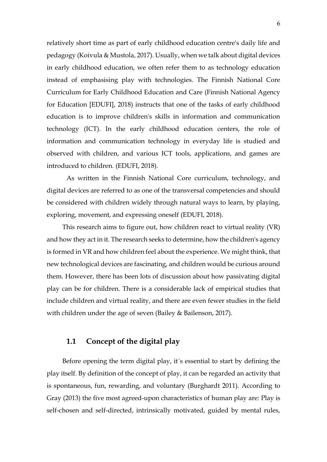relatively short time as part of early childhood education centre's daily life and pedagogy (Koivula & Mustola, 2017). Usually, when we talk about digital devices in early childhood education, we often refer them to as technology education instead of emphasising play with technologies. The Finnish National Core Curriculum for Early Childhood Education and Care (Finnish National Agency for Education [EDUFI], 2018) instructs that one of the tasks of early childhood education is to improve children's skills in information and communication technology (ICT). In the early childhood education centers, the role of information and communication technology in everyday life is studied and observed with children, and various ICT tools, applications, and games are introduced to children. (EDUFI, 2018).

As written in the Finnish National Core curriculum, technology, and digital devices are referred to as one of the transversal competencies and should be considered with children widely through natural ways to learn, by playing, exploring, movement, and expressing oneself (EDUFI, 2018).

This research aims to figure out, how children react to virtual reality (VR) and how they act in it. The research seeks to determine, how the children's agency is formed in VR and how children feel about the experience. We might think, that new technological devices are fascinating, and children would be curious around them. However, there has been lots of discussion about how passivating digital play can be for children. There is a considerable lack of empirical studies that include children and virtual reality, and there are even fewer studies in the field with children under the age of seven (Bailey & Bailenson, 2017).

## <span id="page-5-0"></span>**1.1 Concept of the digital play**

Before opening the term digital play, it´s essential to start by defining the play itself. By definition of the concept of play, it can be regarded an activity that is spontaneous, fun, rewarding, and voluntary (Burghardt 2011). According to Gray (2013) the five most agreed-upon characteristics of human play are: Play is self-chosen and self-directed, intrinsically motivated, guided by mental rules,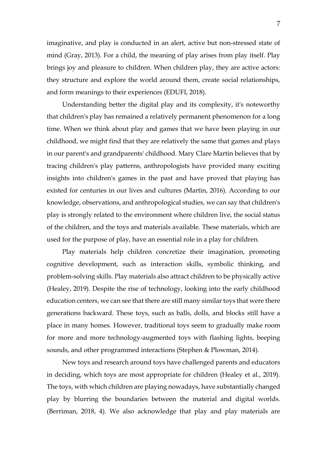imaginative, and play is conducted in an alert, active but non-stressed state of mind (Gray, 2013). For a child, the meaning of play arises from play itself. Play brings joy and pleasure to children. When children play, they are active actors: they structure and explore the world around them, create social relationships, and form meanings to their experiences (EDUFI, 2018).

Understanding better the digital play and its complexity, it's noteworthy that children's play has remained a relatively permanent phenomenon for a long time. When we think about play and games that we have been playing in our childhood, we might find that they are relatively the same that games and plays in our parent's and grandparents' childhood. Mary Clare Martin believes that by tracing children's play patterns, anthropologists have provided many exciting insights into children's games in the past and have proved that playing has existed for centuries in our lives and cultures (Martin, 2016). According to our knowledge, observations, and anthropological studies, we can say that children's play is strongly related to the environment where children live, the social status of the children, and the toys and materials available. These materials, which are used for the purpose of play, have an essential role in a play for children.

Play materials help children concretize their imagination, promoting cognitive development, such as interaction skills, symbolic thinking, and problem-solving skills. Play materials also attract children to be physically active (Healey, 2019). Despite the rise of technology, looking into the early childhood education centers, we can see that there are still many similar toys that were there generations backward. These toys, such as balls, dolls, and blocks still have a place in many homes. However, traditional toys seem to gradually make room for more and more technology-augmented toys with flashing lights, beeping sounds, and other programmed interactions (Stephen & Plowman, 2014).

New toys and research around toys have challenged parents and educators in deciding, which toys are most appropriate for children (Healey et al., 2019). The toys, with which children are playing nowadays, have substantially changed play by blurring the boundaries between the material and digital worlds. (Berriman, 2018, 4). We also acknowledge that play and play materials are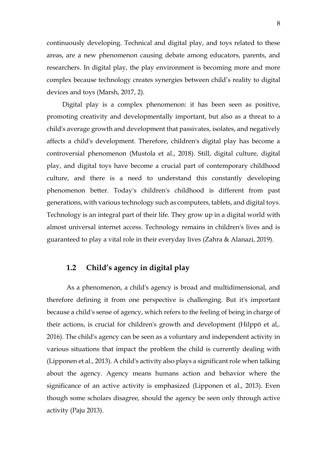continuously developing. Technical and digital play, and toys related to these areas, are a new phenomenon causing debate among educators, parents, and researchers. In digital play, the play environment is becoming more and more complex because technology creates synergies between child's reality to digital devices and toys (Marsh, 2017, 2).

Digital play is a complex phenomenon: it has been seen as positive, promoting creativity and developmentally important, but also as a threat to a child's average growth and development that passivates, isolates, and negatively affects a child's development. Therefore, children's digital play has become a controversial phenomenon (Mustola et al., 2018). Still, digital culture, digital play, and digital toys have become a crucial part of contemporary childhood culture, and there is a need to understand this constantly developing phenomenon better. Today's children's childhood is different from past generations, with various technology such as computers, tablets, and digital toys. Technology is an integral part of their life. They grow up in a digital world with almost universal internet access. Technology remains in children's lives and is guaranteed to play a vital role in their everyday lives (Zahra & Alanazi, 2019).

### <span id="page-7-0"></span>**1.2 Child's agency in digital play**

As a phenomenon, a child's agency is broad and multidimensional, and therefore defining it from one perspective is challenging. But it's important because a child's sense of agency, which refers to the feeling of being in charge of their actions, is crucial for children's growth and development (Hilppö et al,. 2016). The child's agency can be seen as a voluntary and independent activity in various situations that impact the problem the child is currently dealing with (Lipponen et al., 2013). A child's activity also plays a significant role when talking about the agency. Agency means humans action and behavior where the significance of an active activity is emphasized (Lipponen et al., 2013). Even though some scholars disagree, should the agency be seen only through active activity (Paju 2013).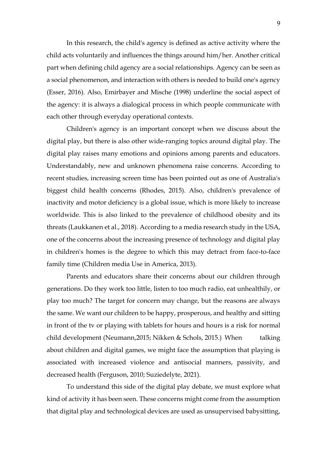In this research, the child's agency is defined as active activity where the child acts voluntarily and influences the things around him/her. Another critical part when defining child agency are a social relationships. Agency can be seen as a social phenomenon, and interaction with others is needed to build one's agency (Esser, 2016). Also, Emirbayer and Mische (1998) underline the social aspect of the agency: it is always a dialogical process in which people communicate with each other through everyday operational contexts.

Children's agency is an important concept when we discuss about the digital play, but there is also other wide-ranging topics around digital play. The digital play raises many emotions and opinions among parents and educators. Understandably, new and unknown phenomena raise concerns. According to recent studies, increasing screen time has been pointed out as one of Australia's biggest child health concerns (Rhodes, 2015). Also, children's prevalence of inactivity and motor deficiency is a global issue, which is more likely to increase worldwide. This is also linked to the prevalence of childhood obesity and its threats (Laukkanen et al., 2018). According to a media research study in the USA, one of the concerns about the increasing presence of technology and digital play in children's homes is the degree to which this may detract from face-to-face family time (Children media Use in America, 2013).

Parents and educators share their concerns about our children through generations. Do they work too little, listen to too much radio, eat unhealthily, or play too much? The target for concern may change, but the reasons are always the same. We want our children to be happy, prosperous, and healthy and sitting in front of the tv or playing with tablets for hours and hours is a risk for normal child development (Neumann,2015; Nikken & Schols, 2015.) When talking about children and digital games, we might face the assumption that playing is associated with increased violence and antisocial manners, passivity, and decreased health (Ferguson, 2010; Suziedelyte, 2021).

To understand this side of the digital play debate, we must explore what kind of activity it has been seen. These concerns might come from the assumption that digital play and technological devices are used as unsupervised babysitting,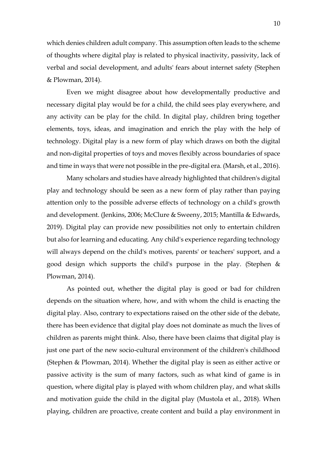which denies children adult company. This assumption often leads to the scheme of thoughts where digital play is related to physical inactivity, passivity, lack of verbal and social development, and adults' fears about internet safety (Stephen & Plowman, 2014).

Even we might disagree about how developmentally productive and necessary digital play would be for a child, the child sees play everywhere, and any activity can be play for the child. In digital play, children bring together elements, toys, ideas, and imagination and enrich the play with the help of technology. Digital play is a new form of play which draws on both the digital and non-digital properties of toys and moves flexibly across boundaries of space and time in ways that were not possible in the pre-digital era. (Marsh, et al., 2016).

Many scholars and studies have already highlighted that children's digital play and technology should be seen as a new form of play rather than paying attention only to the possible adverse effects of technology on a child's growth and development. (Jenkins, 2006; McClure & Sweeny, 2015; Mantilla & Edwards, 2019). Digital play can provide new possibilities not only to entertain children but also for learning and educating. Any child's experience regarding technology will always depend on the child's motives, parents' or teachers' support, and a good design which supports the child's purpose in the play. (Stephen & Plowman, 2014).

As pointed out, whether the digital play is good or bad for children depends on the situation where, how, and with whom the child is enacting the digital play. Also, contrary to expectations raised on the other side of the debate, there has been evidence that digital play does not dominate as much the lives of children as parents might think. Also, there have been claims that digital play is just one part of the new socio-cultural environment of the children's childhood (Stephen & Plowman, 2014). Whether the digital play is seen as either active or passive activity is the sum of many factors, such as what kind of game is in question, where digital play is played with whom children play, and what skills and motivation guide the child in the digital play (Mustola et al., 2018). When playing, children are proactive, create content and build a play environment in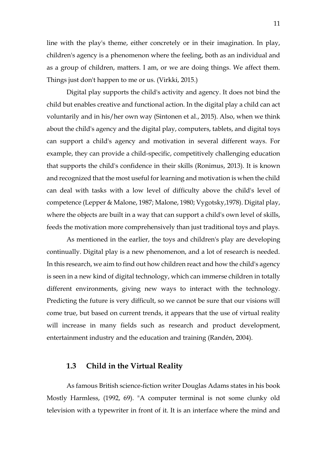line with the play's theme, either concretely or in their imagination. In play, children's agency is a phenomenon where the feeling, both as an individual and as a group of children, matters. I am, or we are doing things. We affect them. Things just don't happen to me or us. (Virkki, 2015.)

Digital play supports the child's activity and agency. It does not bind the child but enables creative and functional action. In the digital play a child can act voluntarily and in his/her own way (Sintonen et al., 2015). Also, when we think about the child's agency and the digital play, computers, tablets, and digital toys can support a child's agency and motivation in several different ways. For example, they can provide a child-specific, competitively challenging education that supports the child's confidence in their skills (Ronimus, 2013). It is known and recognized that the most useful for learning and motivation is when the child can deal with tasks with a low level of difficulty above the child's level of competence (Lepper & Malone, 1987; Malone, 1980; Vygotsky,1978). Digital play, where the objects are built in a way that can support a child's own level of skills, feeds the motivation more comprehensively than just traditional toys and plays.

As mentioned in the earlier, the toys and children's play are developing continually. Digital play is a new phenomenon, and a lot of research is needed. In this research, we aim to find out how children react and how the child's agency is seen in a new kind of digital technology, which can immerse children in totally different environments, giving new ways to interact with the technology. Predicting the future is very difficult, so we cannot be sure that our visions will come true, but based on current trends, it appears that the use of virtual reality will increase in many fields such as research and product development, entertainment industry and the education and training (Randén, 2004).

### <span id="page-10-0"></span>**1.3 Child in the Virtual Reality**

As famous British science-fiction writer Douglas Adams states in his book Mostly Harmless, (1992, 69). "A computer terminal is not some clunky old television with a typewriter in front of it. It is an interface where the mind and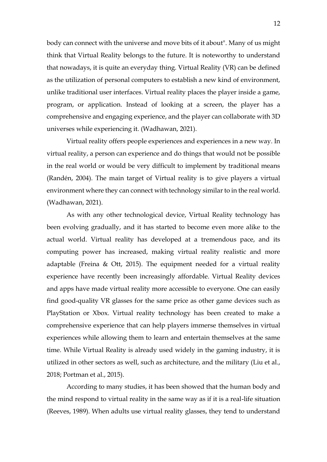body can connect with the universe and move bits of it about". Many of us might think that Virtual Reality belongs to the future. It is noteworthy to understand that nowadays, it is quite an everyday thing. Virtual Reality (VR) can be defined as the utilization of personal computers to establish a new kind of environment, unlike traditional user interfaces. Virtual reality places the player inside a game, program, or application. Instead of looking at a screen, the player has a comprehensive and engaging experience, and the player can collaborate with 3D universes while experiencing it. (Wadhawan, 2021).

Virtual reality offers people experiences and experiences in a new way. In virtual reality, a person can experience and do things that would not be possible in the real world or would be very difficult to implement by traditional means (Randén, 2004). The main target of Virtual reality is to give players a virtual environment where they can connect with technology similar to in the real world. (Wadhawan, 2021).

As with any other technological device, Virtual Reality technology has been evolving gradually, and it has started to become even more alike to the actual world. Virtual reality has developed at a tremendous pace, and its computing power has increased, making virtual reality realistic and more adaptable (Freina  $&$  Ott, 2015). The equipment needed for a virtual reality experience have recently been increasingly affordable. Virtual Reality devices and apps have made virtual reality more accessible to everyone. One can easily find good-quality VR glasses for the same price as other game devices such as PlayStation or Xbox. Virtual reality technology has been created to make a comprehensive experience that can help players immerse themselves in virtual experiences while allowing them to learn and entertain themselves at the same time. While Virtual Reality is already used widely in the gaming industry, it is utilized in other sectors as well, such as architecture, and the military (Liu et al., 2018; Portman et al., 2015).

According to many studies, it has been showed that the human body and the mind respond to virtual reality in the same way as if it is a real-life situation (Reeves, 1989). When adults use virtual reality glasses, they tend to understand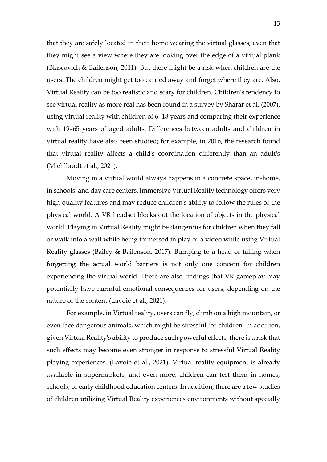that they are safely located in their home wearing the virtual glasses, even that they might see a view where they are looking over the edge of a virtual plank (Blascovich & Bailenson, 2011). But there might be a risk when children are the users. The children might get too carried away and forget where they are. Also, Virtual Reality can be too realistic and scary for children. Children's tendency to see virtual reality as more real has been found in a survey by Sharar et al. (2007), using virtual reality with children of 6–18 years and comparing their experience with 19–65 years of aged adults. Differences between adults and children in virtual reality have also been studied; for example, in 2016, the research found that virtual reality affects a child's coordination differently than an adult's (Miehlbradt et al., 2021).

Moving in a virtual world always happens in a concrete space, in-home, in schools, and day care centers. Immersive Virtual Reality technology offers very high-quality features and may reduce children's ability to follow the rules of the physical world. A VR headset blocks out the location of objects in the physical world. Playing in Virtual Reality might be dangerous for children when they fall or walk into a wall while being immersed in play or a video while using Virtual Reality glasses (Bailey & Bailenson, 2017). Bumping to a head or falling when forgetting the actual world barriers is not only one concern for children experiencing the virtual world. There are also findings that VR gameplay may potentially have harmful emotional consequences for users, depending on the nature of the content (Lavoie et al., 2021).

For example, in Virtual reality, users can fly, climb on a high mountain, or even face dangerous animals, which might be stressful for children. In addition, given Virtual Reality's ability to produce such powerful effects, there is a risk that such effects may become even stronger in response to stressful Virtual Reality playing experiences. (Lavoie et al., 2021). Virtual reality equipment is already available in supermarkets, and even more, children can test them in homes, schools, or early childhood education centers. In addition, there are a few studies of children utilizing Virtual Reality experiences environments without specially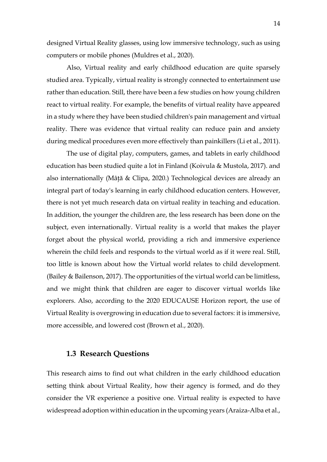designed Virtual Reality glasses, using low immersive technology, such as using computers or mobile phones (Muldres et al., 2020).

Also, Virtual reality and early childhood education are quite sparsely studied area. Typically, virtual reality is strongly connected to entertainment use rather than education. Still, there have been a few studies on how young children react to virtual reality. For example, the benefits of virtual reality have appeared in a study where they have been studied children's pain management and virtual reality. There was evidence that virtual reality can reduce pain and anxiety during medical procedures even more effectively than painkillers (Li et al., 2011).

The use of digital play, computers, games, and tablets in early childhood education has been studied quite a lot in Finland (Koivula & Mustola, 2017). and also internationally (Mâţă & Clipa, 2020.) Technological devices are already an integral part of today's learning in early childhood education centers. However, there is not yet much research data on virtual reality in teaching and education. In addition, the younger the children are, the less research has been done on the subject, even internationally. Virtual reality is a world that makes the player forget about the physical world, providing a rich and immersive experience wherein the child feels and responds to the virtual world as if it were real. Still, too little is known about how the Virtual world relates to child development. (Bailey & Bailenson, 2017). The opportunities of the virtual world can be limitless, and we might think that children are eager to discover virtual worlds like explorers. Also, according to the 2020 EDUCAUSE Horizon report, the use of Virtual Reality is overgrowing in education due to several factors: it is immersive, more accessible, and lowered cost (Brown et al., 2020).

### <span id="page-13-0"></span>**1.3 Research Questions**

This research aims to find out what children in the early childhood education setting think about Virtual Reality, how their agency is formed, and do they consider the VR experience a positive one. Virtual reality is expected to have widespread adoption within education in the upcoming years (Araiza-Alba et al.,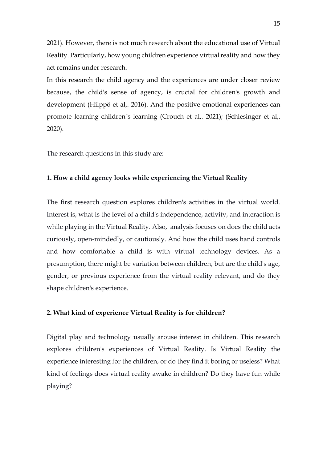2021). However, there is not much research about the educational use of Virtual Reality. Particularly, how young children experience virtual reality and how they act remains under research.

In this research the child agency and the experiences are under closer review because, the child's sense of agency, is crucial for children's growth and development (Hilppö et al,. 2016). And the positive emotional experiences can promote learning children´s learning (Crouch et al,. 2021); (Schlesinger et al,. 2020).

The research questions in this study are:

#### **1. How a child agency looks while experiencing the Virtual Reality**

The first research question explores children's activities in the virtual world. Interest is, what is the level of a child's independence, activity, and interaction is while playing in the Virtual Reality. Also, analysis focuses on does the child acts curiously, open-mindedly, or cautiously. And how the child uses hand controls and how comfortable a child is with virtual technology devices. As a presumption, there might be variation between children, but are the child's age, gender, or previous experience from the virtual reality relevant, and do they shape children's experience.

#### **2. What kind of experience Virtual Reality is for children?**

Digital play and technology usually arouse interest in children. This research explores children's experiences of Virtual Reality. Is Virtual Reality the experience interesting for the children, or do they find it boring or useless? What kind of feelings does virtual reality awake in children? Do they have fun while playing?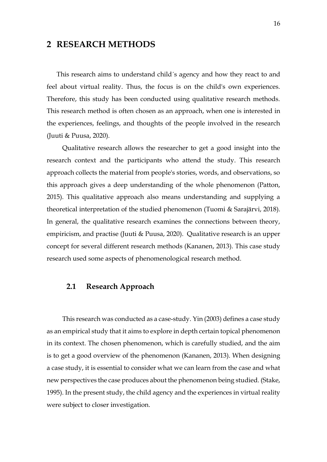### <span id="page-15-0"></span>**2 RESEARCH METHODS**

This research aims to understand child´s agency and how they react to and feel about virtual reality. Thus, the focus is on the child's own experiences. Therefore, this study has been conducted using qualitative research methods. This research method is often chosen as an approach, when one is interested in the experiences, feelings, and thoughts of the people involved in the research (Juuti & Puusa, 2020).

Qualitative research allows the researcher to get a good insight into the research context and the participants who attend the study. This research approach collects the material from people's stories, words, and observations, so this approach gives a deep understanding of the whole phenomenon (Patton, 2015). This qualitative approach also means understanding and supplying a theoretical interpretation of the studied phenomenon (Tuomi & Sarajärvi, 2018). In general, the qualitative research examines the connections between theory, empiricism, and practise (Juuti & Puusa, 2020). Qualitative research is an upper concept for several different research methods (Kananen, 2013). This case study research used some aspects of phenomenological research method.

### <span id="page-15-1"></span>**2.1 Research Approach**

This research was conducted as a case-study. Yin (2003) defines a case study as an empirical study that it aims to explore in depth certain topical phenomenon in its context. The chosen phenomenon, which is carefully studied, and the aim is to get a good overview of the phenomenon (Kananen, 2013). When designing a case study, it is essential to consider what we can learn from the case and what new perspectives the case produces about the phenomenon being studied. (Stake, 1995). In the present study, the child agency and the experiences in virtual reality were subject to closer investigation.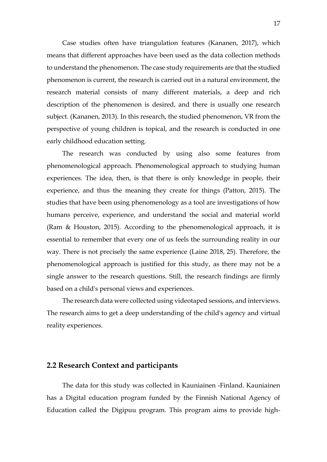Case studies often have triangulation features (Kananen, 2017), which means that different approaches have been used as the data collection methods to understand the phenomenon. The case study requirements are that the studied phenomenon is current, the research is carried out in a natural environment, the research material consists of many different materials, a deep and rich description of the phenomenon is desired, and there is usually one research subject. (Kananen, 2013). In this research, the studied phenomenon, VR from the perspective of young children is topical, and the research is conducted in one early childhood education setting.

The research was conducted by using also some features from phenomenological approach. Phenomenological approach to studying human experiences. The idea, then, is that there is only knowledge in people, their experience, and thus the meaning they create for things (Patton, 2015). The studies that have been using phenomenology as a tool are investigations of how humans perceive, experience, and understand the social and material world (Ram & Houston, 2015). According to the phenomenological approach, it is essential to remember that every one of us feels the surrounding reality in our way. There is not precisely the same experience (Laine 2018, 25). Therefore, the phenomenological approach is justified for this study, as there may not be a single answer to the research questions. Still, the research findings are firmly based on a child's personal views and experiences.

The research data were collected using videotaped sessions, and interviews. The research aims to get a deep understanding of the child's agency and virtual reality experiences.

#### <span id="page-16-0"></span>**2.2 Research Context and participants**

The data for this study was collected in Kauniainen -Finland. Kauniainen has a Digital education program funded by the Finnish National Agency of Education called the Digipuu program. This program aims to provide high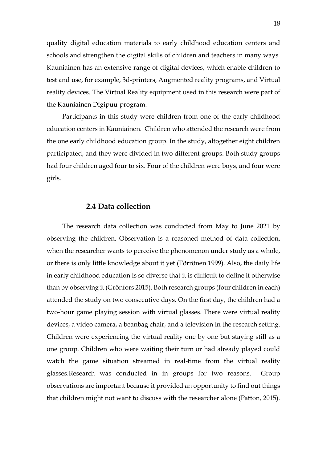quality digital education materials to early childhood education centers and schools and strengthen the digital skills of children and teachers in many ways. Kauniainen has an extensive range of digital devices, which enable children to test and use, for example, 3d-printers, Augmented reality programs, and Virtual reality devices. The Virtual Reality equipment used in this research were part of the Kauniainen Digipuu-program.

Participants in this study were children from one of the early childhood education centers in Kauniainen. Children who attended the research were from the one early childhood education group. In the study, altogether eight children participated, and they were divided in two different groups. Both study groups had four children aged four to six. Four of the children were boys, and four were girls.

#### **2.4 Data collection**

<span id="page-17-0"></span>The research data collection was conducted from May to June 2021 by observing the children. Observation is a reasoned method of data collection, when the researcher wants to perceive the phenomenon under study as a whole, or there is only little knowledge about it yet (Törrönen 1999). Also, the daily life in early childhood education is so diverse that it is difficult to define it otherwise than by observing it (Grönfors 2015). Both research groups (four children in each) attended the study on two consecutive days. On the first day, the children had a two-hour game playing session with virtual glasses. There were virtual reality devices, a video camera, a beanbag chair, and a television in the research setting. Children were experiencing the virtual reality one by one but staying still as a one group. Children who were waiting their turn or had already played could watch the game situation streamed in real-time from the virtual reality glasses.Research was conducted in in groups for two reasons. Group observations are important because it provided an opportunity to find out things that children might not want to discuss with the researcher alone (Patton, 2015).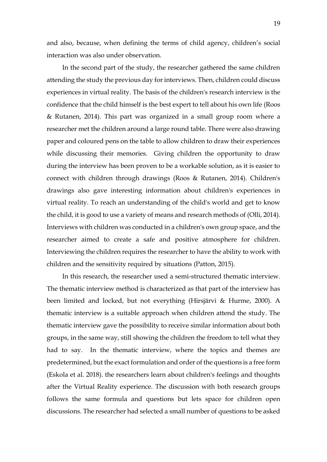and also, because, when defining the terms of child agency, children's social interaction was also under observation.

In the second part of the study, the researcher gathered the same children attending the study the previous day for interviews. Then, children could discuss experiences in virtual reality. The basis of the children's research interview is the confidence that the child himself is the best expert to tell about his own life (Roos & Rutanen, 2014). This part was organized in a small group room where a researcher met the children around a large round table. There were also drawing paper and coloured pens on the table to allow children to draw their experiences while discussing their memories. Giving children the opportunity to draw during the interview has been proven to be a workable solution, as it is easier to connect with children through drawings (Roos & Rutanen, 2014). Children's drawings also gave interesting information about children's experiences in virtual reality. To reach an understanding of the child's world and get to know the child, it is good to use a variety of means and research methods of (Olli, 2014). Interviews with children was conducted in a children's own group space, and the researcher aimed to create a safe and positive atmosphere for children. Interviewing the children requires the researcher to have the ability to work with children and the sensitivity required by situations (Patton, 2015).

In this research, the researcher used a semi-structured thematic interview. The thematic interview method is characterized as that part of the interview has been limited and locked, but not everything (Hirsjärvi & Hurme, 2000). A thematic interview is a suitable approach when children attend the study. The thematic interview gave the possibility to receive similar information about both groups, in the same way, still showing the children the freedom to tell what they had to say. In the thematic interview, where the topics and themes are predetermined, but the exact formulation and order of the questions is a free form (Eskola et al. 2018). the researchers learn about children's feelings and thoughts after the Virtual Reality experience. The discussion with both research groups follows the same formula and questions but lets space for children open discussions. The researcher had selected a small number of questions to be asked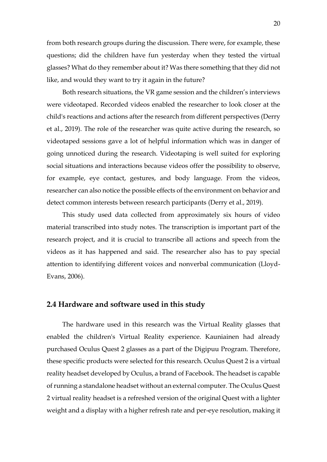from both research groups during the discussion. There were, for example, these questions; did the children have fun yesterday when they tested the virtual glasses? What do they remember about it? Was there something that they did not like, and would they want to try it again in the future?

Both research situations, the VR game session and the children's interviews were videotaped. Recorded videos enabled the researcher to look closer at the child's reactions and actions after the research from different perspectives (Derry et al., 2019). The role of the researcher was quite active during the research, so videotaped sessions gave a lot of helpful information which was in danger of going unnoticed during the research. Videotaping is well suited for exploring social situations and interactions because videos offer the possibility to observe, for example, eye contact, gestures, and body language. From the videos, researcher can also notice the possible effects of the environment on behavior and detect common interests between research participants (Derry et al., 2019).

This study used data collected from approximately six hours of video material transcribed into study notes. The transcription is important part of the research project, and it is crucial to transcribe all actions and speech from the videos as it has happened and said. The researcher also has to pay special attention to identifying different voices and nonverbal communication (Lloyd-Evans, 2006).

#### <span id="page-19-0"></span>**2.4 Hardware and software used in this study**

The hardware used in this research was the Virtual Reality glasses that enabled the children's Virtual Reality experience. Kauniainen had already purchased Oculus Quest 2 glasses as a part of the Digipuu Program. Therefore, these specific products were selected for this research. Oculus Quest 2 is a virtual reality headset developed by Oculus, a brand of Facebook. The headset is capable of running a standalone headset without an external computer. The Oculus Quest 2 virtual reality headset is a refreshed version of the original Quest with a lighter weight and a display with a higher refresh rate and per-eye resolution, making it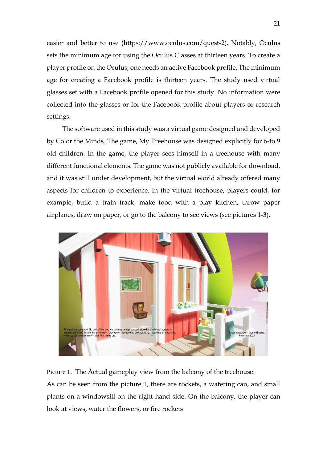easier and better to use (https://www.oculus.com/quest-2). Notably, Oculus sets the minimum age for using the Oculus Classes at thirteen years. To create a player profile on the Oculus, one needs an active Facebook profile. The minimum age for creating a Facebook profile is thirteen years. The study used virtual glasses set with a Facebook profile opened for this study. No information were collected into the glasses or for the Facebook profile about players or research settings.

The software used in this study was a virtual game designed and developed by Color the Minds. The game, My Treehouse was designed explicitly for 6-to 9 old children. In the game, the player sees himself in a treehouse with many different functional elements. The game was not publicly available for download, and it was still under development, but the virtual world already offered many aspects for children to experience. In the virtual treehouse, players could, for example, build a train track, make food with a play kitchen, throw paper airplanes, draw on paper, or go to the balcony to see views (see pictures 1-3).



Picture 1. The Actual gameplay view from the balcony of the treehouse.

As can be seen from the picture 1, there are rockets, a watering can, and small plants on a windowsill on the right-hand side. On the balcony, the player can look at views, water the flowers, or fire rockets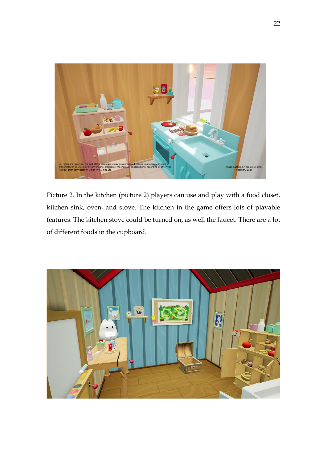

Picture 2. In the kitchen (picture 2) players can use and play with a food closet, kitchen sink, oven, and stove. The kitchen in the game offers lots of playable features. The kitchen stove could be turned on, as well the faucet. There are a lot of different foods in the cupboard.

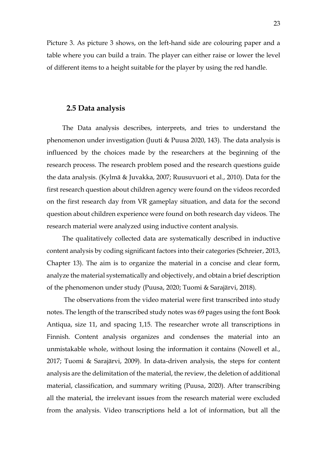Picture 3. As picture 3 shows, on the left-hand side are colouring paper and a table where you can build a train. The player can either raise or lower the level of different items to a height suitable for the player by using the red handle.

#### <span id="page-22-0"></span>**2.5 Data analysis**

The Data analysis describes, interprets, and tries to understand the phenomenon under investigation (Juuti & Puusa 2020, 143). The data analysis is influenced by the choices made by the researchers at the beginning of the research process. The research problem posed and the research questions guide the data analysis. (Kylmä & Juvakka, 2007; Ruusuvuori et al., 2010). Data for the first research question about children agency were found on the videos recorded on the first research day from VR gameplay situation, and data for the second question about children experience were found on both research day videos. The research material were analyzed using inductive content analysis.

The qualitatively collected data are systematically described in inductive content analysis by coding significant factors into their categories (Schreier, 2013, Chapter 13). The aim is to organize the material in a concise and clear form, analyze the material systematically and objectively, and obtain a brief description of the phenomenon under study (Puusa, 2020; Tuomi & Sarajärvi, 2018).

The observations from the video material were first transcribed into study notes. The length of the transcribed study notes was 69 pages using the font Book Antiqua, size 11, and spacing 1,15. The researcher wrote all transcriptions in Finnish. Content analysis organizes and condenses the material into an unmistakable whole, without losing the information it contains (Nowell et al., 2017; Tuomi & Sarajärvi, 2009). In data-driven analysis, the steps for content analysis are the delimitation of the material, the review, the deletion of additional material, classification, and summary writing (Puusa, 2020). After transcribing all the material, the irrelevant issues from the research material were excluded from the analysis. Video transcriptions held a lot of information, but all the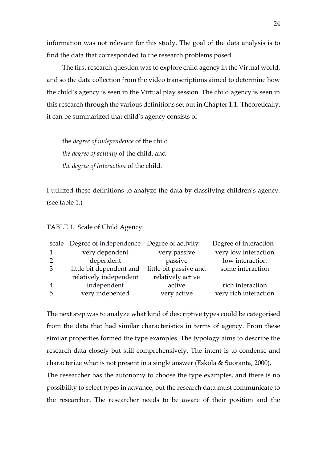information was not relevant for this study. The goal of the data analysis is to find the data that corresponded to the research problems posed.

The first research question was to explore child agency in the Virtual world, and so the data collection from the video transcriptions aimed to determine how the child´s agency is seen in the Virtual play session. The child agency is seen in this research through the various definitions set out in Chapter 1.1. Theoretically, it can be summarized that child's agency consists of

the *degree of independence* of the child *the degree of activity* of the child, and *the degree of interaction* of the child.

I utilized these definitions to analyze the data by classifying children's agency. (see table 1.)

|                | scale Degree of independence Degree of activity |                        | Degree of interaction |
|----------------|-------------------------------------------------|------------------------|-----------------------|
|                | very dependent                                  | very passive           | very low interaction  |
|                | dependent                                       | passive                | low interaction       |
| 3              | little bit dependent and                        | little bit passive and | some interaction      |
|                | relatively independent                          | relatively active      |                       |
| $\overline{4}$ | independent                                     | active                 | rich interaction      |
| h              | very indepented                                 | very active            | very rich interaction |

TABLE 1. Scale of Child Agency

The next step was to analyze what kind of descriptive types could be categorised from the data that had similar characteristics in terms of agency. From these similar properties formed the type examples. The typology aims to describe the research data closely but still comprehensively. The intent is to condense and characterize what is not present in a single answer (Eskola & Suoranta, 2000).

The researcher has the autonomy to choose the type examples, and there is no possibility to select types in advance, but the research data must communicate to the researcher. The researcher needs to be aware of their position and the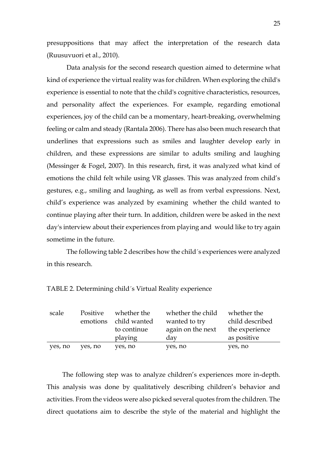presuppositions that may affect the interpretation of the research data (Ruusuvuori et al., 2010).

Data analysis for the second research question aimed to determine what kind of experience the virtual reality was for children. When exploring the child's experience is essential to note that the child's cognitive characteristics, resources, and personality affect the experiences. For example, regarding emotional experiences, joy of the child can be a momentary, heart-breaking, overwhelming feeling or calm and steady (Rantala 2006). There has also been much research that underlines that expressions such as smiles and laughter develop early in children, and these expressions are similar to adults smiling and laughing (Messinger & Fogel, 2007). In this research, first, it was analyzed what kind of emotions the child felt while using VR glasses. This was analyzed from child's gestures, e.g., smiling and laughing, as well as from verbal expressions. Next, child's experience was analyzed by examining whether the child wanted to continue playing after their turn. In addition, children were be asked in the next day's interview about their experiences from playing and would like to try again sometime in the future.

The following table 2 describes how the child´s experiences were analyzed in this research.

| scale   | Positive | whether the  | whether the child | whether the     |
|---------|----------|--------------|-------------------|-----------------|
|         | emotions | child wanted | wanted to try     | child described |
|         |          | to continue  | again on the next | the experience  |
|         |          | playing      | day               | as positive     |
| yes, no | yes, no  | yes, no      | yes, no           | yes, no         |

TABLE 2. Determining child´s Virtual Reality experience

The following step was to analyze children's experiences more in-depth. This analysis was done by qualitatively describing children's behavior and activities. From the videos were also picked several quotes from the children. The direct quotations aim to describe the style of the material and highlight the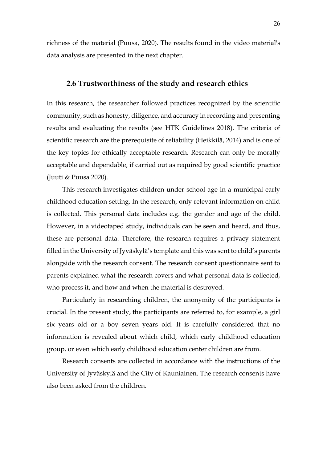<span id="page-25-0"></span>richness of the material (Puusa, 2020). The results found in the video material's data analysis are presented in the next chapter.

### **2.6 Trustworthiness of the study and research ethics**

In this research, the researcher followed practices recognized by the scientific community, such as honesty, diligence, and accuracy in recording and presenting results and evaluating the results (see HTK Guidelines 2018). The criteria of scientific research are the prerequisite of reliability (Heikkilä, 2014) and is one of the key topics for ethically acceptable research. Research can only be morally acceptable and dependable, if carried out as required by good scientific practice (Juuti & Puusa 2020).

This research investigates children under school age in a municipal early childhood education setting. In the research, only relevant information on child is collected. This personal data includes e.g. the gender and age of the child. However, in a videotaped study, individuals can be seen and heard, and thus, these are personal data. Therefore, the research requires a privacy statement filled in the University of Jyväskylä's template and this was sent to child's parents alongside with the research consent. The research consent questionnaire sent to parents explained what the research covers and what personal data is collected, who process it, and how and when the material is destroyed.

Particularly in researching children, the anonymity of the participants is crucial. In the present study, the participants are referred to, for example, a girl six years old or a boy seven years old. It is carefully considered that no information is revealed about which child, which early childhood education group, or even which early childhood education center children are from.

Research consents are collected in accordance with the instructions of the University of Jyväskylä and the City of Kauniainen. The research consents have also been asked from the children.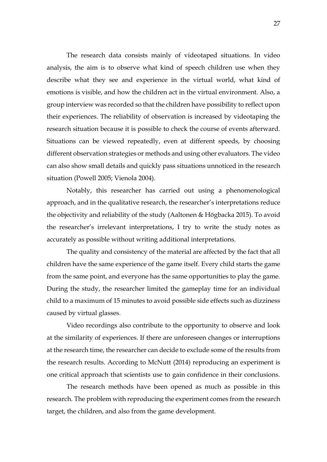The research data consists mainly of videotaped situations. In video analysis, the aim is to observe what kind of speech children use when they describe what they see and experience in the virtual world, what kind of emotions is visible, and how the children act in the virtual environment. Also, a group interview was recorded so that the children have possibility to reflect upon their experiences. The reliability of observation is increased by videotaping the research situation because it is possible to check the course of events afterward. Situations can be viewed repeatedly, even at different speeds, by choosing different observation strategies or methods and using other evaluators. The video can also show small details and quickly pass situations unnoticed in the research situation (Powell 2005; Vienola 2004).

Notably, this researcher has carried out using a phenomenological approach, and in the qualitative research, the researcher's interpretations reduce the objectivity and reliability of the study (Aaltonen & Högbacka 2015). To avoid the researcher's irrelevant interpretations, I try to write the study notes as accurately as possible without writing additional interpretations.

The quality and consistency of the material are affected by the fact that all children have the same experience of the game itself. Every child starts the game from the same point, and everyone has the same opportunities to play the game. During the study, the researcher limited the gameplay time for an individual child to a maximum of 15 minutes to avoid possible side effects such as dizziness caused by virtual glasses.

Video recordings also contribute to the opportunity to observe and look at the similarity of experiences. If there are unforeseen changes or interruptions at the research time, the researcher can decide to exclude some of the results from the research results. According to McNutt (2014) reproducing an experiment is one critical approach that scientists use to gain confidence in their conclusions.

The research methods have been opened as much as possible in this research. The problem with reproducing the experiment comes from the research target, the children, and also from the game development.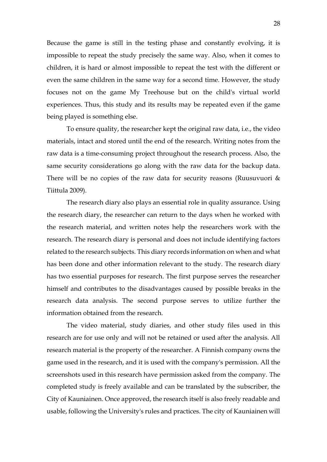Because the game is still in the testing phase and constantly evolving, it is impossible to repeat the study precisely the same way. Also, when it comes to children, it is hard or almost impossible to repeat the test with the different or even the same children in the same way for a second time. However, the study focuses not on the game My Treehouse but on the child's virtual world experiences. Thus, this study and its results may be repeated even if the game being played is something else.

To ensure quality, the researcher kept the original raw data, i.e., the video materials, intact and stored until the end of the research. Writing notes from the raw data is a time-consuming project throughout the research process. Also, the same security considerations go along with the raw data for the backup data. There will be no copies of the raw data for security reasons (Ruusuvuori & Tiittula 2009).

The research diary also plays an essential role in quality assurance. Using the research diary, the researcher can return to the days when he worked with the research material, and written notes help the researchers work with the research. The research diary is personal and does not include identifying factors related to the research subjects. This diary records information on when and what has been done and other information relevant to the study. The research diary has two essential purposes for research. The first purpose serves the researcher himself and contributes to the disadvantages caused by possible breaks in the research data analysis. The second purpose serves to utilize further the information obtained from the research.

The video material, study diaries, and other study files used in this research are for use only and will not be retained or used after the analysis. All research material is the property of the researcher. A Finnish company owns the game used in the research, and it is used with the company's permission. All the screenshots used in this research have permission asked from the company. The completed study is freely available and can be translated by the subscriber, the City of Kauniainen. Once approved, the research itself is also freely readable and usable, following the University's rules and practices. The city of Kauniainen will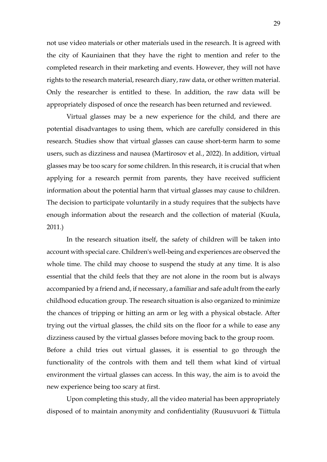not use video materials or other materials used in the research. It is agreed with the city of Kauniainen that they have the right to mention and refer to the completed research in their marketing and events. However, they will not have rights to the research material, research diary, raw data, or other written material. Only the researcher is entitled to these. In addition, the raw data will be appropriately disposed of once the research has been returned and reviewed.

Virtual glasses may be a new experience for the child, and there are potential disadvantages to using them, which are carefully considered in this research. Studies show that virtual glasses can cause short-term harm to some users, such as dizziness and nausea (Martirosov et al., 2022). In addition, virtual glasses may be too scary for some children. In this research, it is crucial that when applying for a research permit from parents, they have received sufficient information about the potential harm that virtual glasses may cause to children. The decision to participate voluntarily in a study requires that the subjects have enough information about the research and the collection of material (Kuula, 2011.)

In the research situation itself, the safety of children will be taken into account with special care. Children's well-being and experiences are observed the whole time. The child may choose to suspend the study at any time. It is also essential that the child feels that they are not alone in the room but is always accompanied by a friend and, if necessary, a familiar and safe adult from the early childhood education group. The research situation is also organized to minimize the chances of tripping or hitting an arm or leg with a physical obstacle. After trying out the virtual glasses, the child sits on the floor for a while to ease any dizziness caused by the virtual glasses before moving back to the group room. Before a child tries out virtual glasses, it is essential to go through the functionality of the controls with them and tell them what kind of virtual environment the virtual glasses can access. In this way, the aim is to avoid the new experience being too scary at first.

Upon completing this study, all the video material has been appropriately disposed of to maintain anonymity and confidentiality (Ruusuvuori & Tiittula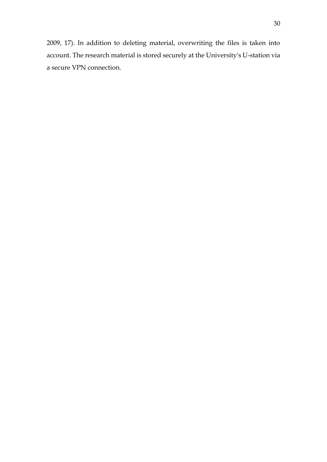2009, 17). In addition to deleting material, overwriting the files is taken into account. The research material is stored securely at the University's U-station via a secure VPN connection.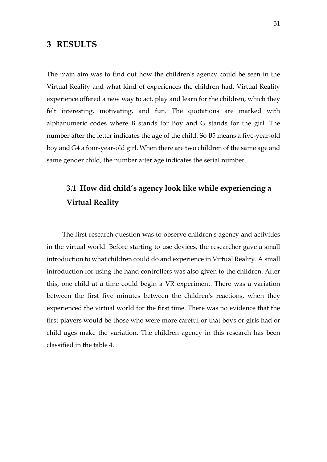### <span id="page-30-0"></span>**3 RESULTS**

The main aim was to find out how the children's agency could be seen in the Virtual Reality and what kind of experiences the children had. Virtual Reality experience offered a new way to act, play and learn for the children, which they felt interesting, motivating, and fun. The quotations are marked with alphanumeric codes where B stands for Boy and G stands for the girl. The number after the letter indicates the age of the child. So B5 means a five-year-old boy and G4 a four-year-old girl. When there are two children of the same age and same gender child, the number after age indicates the serial number.

# <span id="page-30-1"></span>**3.1 How did child´s agency look like while experiencing a Virtual Reality**

The first research question was to observe children's agency and activities in the virtual world. Before starting to use devices, the researcher gave a small introduction to what children could do and experience in Virtual Reality. A small introduction for using the hand controllers was also given to the children. After this, one child at a time could begin a VR experiment. There was a variation between the first five minutes between the children's reactions, when they experienced the virtual world for the first time. There was no evidence that the first players would be those who were more careful or that boys or girls had or child ages make the variation. The children agency in this research has been classified in the table 4.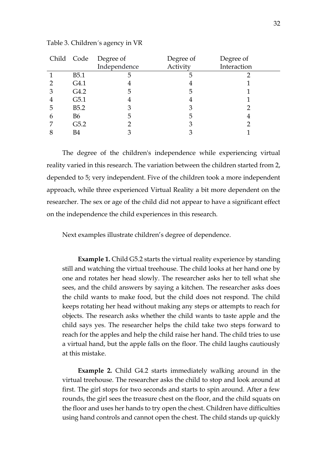|   |                  | Child Code Degree of | Degree of | Degree of   |
|---|------------------|----------------------|-----------|-------------|
|   |                  | Independence         | Activity  | Interaction |
|   | B <sub>5.1</sub> | 5                    | 5         |             |
|   | G4.1             | 4                    |           |             |
| 3 | G4.2             | 5                    | 5         |             |
| 4 | G5.1             | 4                    |           |             |
| 5 | B5.2             | З                    |           |             |
| 6 | <b>B6</b>        | 5                    | 5         | 4           |
|   | G5.2             |                      |           |             |
|   | B4               |                      |           |             |

Table 3. Children´s agency in VR

The degree of the children's independence while experiencing virtual reality varied in this research. The variation between the children started from 2, depended to 5; very independent. Five of the children took a more independent approach, while three experienced Virtual Reality a bit more dependent on the researcher. The sex or age of the child did not appear to have a significant effect on the independence the child experiences in this research.

Next examples illustrate children's degree of dependence.

**Example 1.** Child G5.2 starts the virtual reality experience by standing still and watching the virtual treehouse. The child looks at her hand one by one and rotates her head slowly. The researcher asks her to tell what she sees, and the child answers by saying a kitchen. The researcher asks does the child wants to make food, but the child does not respond. The child keeps rotating her head without making any steps or attempts to reach for objects. The research asks whether the child wants to taste apple and the child says yes. The researcher helps the child take two steps forward to reach for the apples and help the child raise her hand. The child tries to use a virtual hand, but the apple falls on the floor. The child laughs cautiously at this mistake.

**Example 2.** Child G4.2 starts immediately walking around in the virtual treehouse. The researcher asks the child to stop and look around at first. The girl stops for two seconds and starts to spin around. After a few rounds, the girl sees the treasure chest on the floor, and the child squats on the floor and uses her hands to try open the chest. Children have difficulties using hand controls and cannot open the chest. The child stands up quickly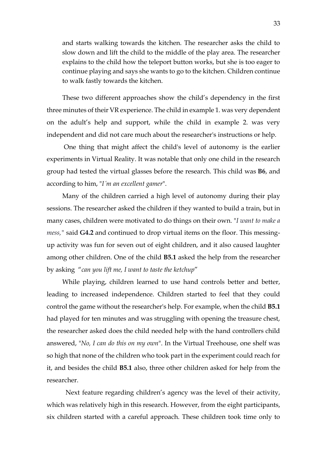and starts walking towards the kitchen. The researcher asks the child to slow down and lift the child to the middle of the play area. The researcher explains to the child how the teleport button works, but she is too eager to continue playing and says she wants to go to the kitchen. Children continue to walk fastly towards the kitchen.

These two different approaches show the child's dependency in the first three minutes of their VR experience. The child in example 1. was very dependent on the adult's help and support, while the child in example 2. was very independent and did not care much about the researcher's instructions or help.

One thing that might affect the child's level of autonomy is the earlier experiments in Virtual Reality. It was notable that only one child in the research group had tested the virtual glasses before the research. This child was **B6**, and according to him, "*I´m an excellent gamer*".

Many of the children carried a high level of autonomy during their play sessions. The researcher asked the children if they wanted to build a train, but in many cases, children were motivated to do things on their own. "*I want to make a mess,"* said **G4.2** and continued to drop virtual items on the floor. This messingup activity was fun for seven out of eight children, and it also caused laughter among other children. One of the child **B5.1** asked the help from the researcher by asking "*can you lift me, I want to taste the ketchup*"

While playing, children learned to use hand controls better and better, leading to increased independence. Children started to feel that they could control the game without the researcher's help. For example, when the child **B5.1** had played for ten minutes and was struggling with opening the treasure chest, the researcher asked does the child needed help with the hand controllers child answered, "*No, I can do this on my own*". In the Virtual Treehouse, one shelf was so high that none of the children who took part in the experiment could reach for it, and besides the child **B5.1** also, three other children asked for help from the researcher.

 Next feature regarding children's agency was the level of their activity, which was relatively high in this research. However, from the eight participants, six children started with a careful approach. These children took time only to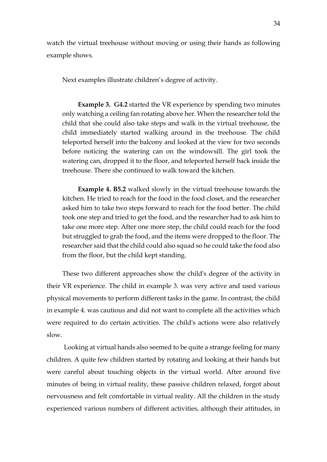watch the virtual treehouse without moving or using their hands as following example shows.

Next examples illustrate children's degree of activity.

**Example 3. G4.2** started the VR experience by spending two minutes only watching a ceiling fan rotating above her. When the researcher told the child that she could also take steps and walk in the virtual treehouse, the child immediately started walking around in the treehouse. The child teleported herself into the balcony and looked at the view for two seconds before noticing the watering can on the windowsill. The girl took the watering can, dropped it to the floor, and teleported herself back inside the treehouse. There she continued to walk toward the kitchen.

**Example 4. B5.2** walked slowly in the virtual treehouse towards the kitchen. He tried to reach for the food in the food closet, and the researcher asked him to take two steps forward to reach for the food better. The child took one step and tried to get the food, and the researcher had to ask him to take one more step. After one more step, the child could reach for the food but struggled to grab the food, and the items were dropped to the floor. The researcher said that the child could also squad so he could take the food also from the floor, but the child kept standing.

These two different approaches show the child's degree of the activity in their VR experience. The child in example 3. was very active and used various physical movements to perform different tasks in the game. In contrast, the child in example 4. was cautious and did not want to complete all the activities which were required to do certain activities. The child's actions were also relatively slow.

Looking at virtual hands also seemed to be quite a strange feeling for many children. A quite few children started by rotating and looking at their hands but were careful about touching objects in the virtual world. After around five minutes of being in virtual reality, these passive children relaxed, forgot about nervousness and felt comfortable in virtual reality. All the children in the study experienced various numbers of different activities, although their attitudes, in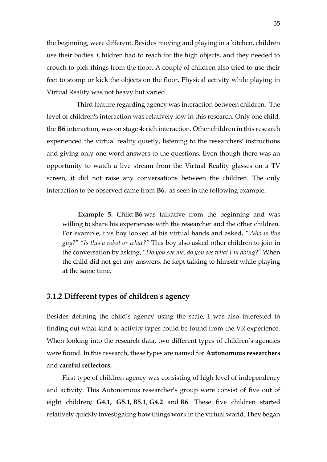the beginning, were different. Besides moving and playing in a kitchen, children use their bodies. Children had to reach for the high objects, and they needed to crouch to pick things from the floor. A couple of children also tried to use their feet to stomp or kick the objects on the floor. Physical activity while playing in Virtual Reality was not heavy but varied.

 Third feature regarding agency was interaction between children. The level of children's interaction was relatively low in this research. Only one child, the **B6** interaction, was on stage 4: rich interaction. Other children in this research experienced the virtual reality quietly, listening to the researchers' instructions and giving only one-word answers to the questions. Even though there was an opportunity to watch a live stream from the Virtual Reality glasses on a TV screen, it did not raise any conversations between the children. The only interaction to be observed came from **B6.** as seen in the following example**.** 

**Example 5.** Child **B6** was talkative from the beginning and was willing to share his experiences with the researcher and the other children. For example, this boy looked at his virtual hands and asked, "*Who is this guy*?" *"Is this a robot or what?"* This boy also asked other children to join in the conversation by asking, "*Do you see me, do you see what I'm doing*?" When the child did not get any answers, he kept talking to himself while playing at the same time.

### <span id="page-34-0"></span>**3.1.2 Different types of children's agency**

Besides defining the child's agency using the scale, I was also interested in finding out what kind of activity types could be found from the VR experience. When looking into the research data, two different types of children's agencies were found. In this research, these types are named for **Autonomous researchers** and **careful reflectors.**

First type of children agency was consisting of high level of independency and activity. This Autonomous researcher's group were consist of five out of eight children**; G4.1, G5.1, B5.1**, **G4.2** and **B6**. These five children started relatively quickly investigating how things work in the virtual world. They began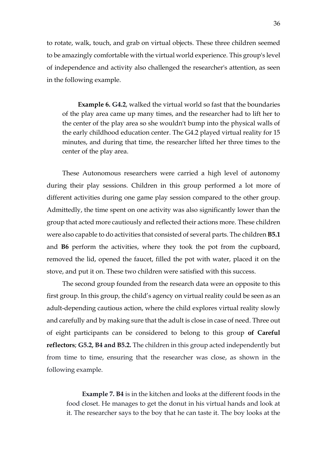to rotate, walk, touch, and grab on virtual objects. These three children seemed to be amazingly comfortable with the virtual world experience. This group's level of independence and activity also challenged the researcher's attention, as seen in the following example.

**Example 6. G4.2**, walked the virtual world so fast that the boundaries of the play area came up many times, and the researcher had to lift her to the center of the play area so she wouldn't bump into the physical walls of the early childhood education center. The G4.2 played virtual reality for 15 minutes, and during that time, the researcher lifted her three times to the center of the play area.

These Autonomous researchers were carried a high level of autonomy during their play sessions. Children in this group performed a lot more of different activities during one game play session compared to the other group. Admittedly, the time spent on one activity was also significantly lower than the group that acted more cautiously and reflected their actions more. These children were also capable to do activities that consisted of several parts. The children **B5.1** and **B6** perform the activities, where they took the pot from the cupboard, removed the lid, opened the faucet, filled the pot with water, placed it on the stove, and put it on. These two children were satisfied with this success.

The second group founded from the research data were an opposite to this first group. In this group, the child's agency on virtual reality could be seen as an adult-depending cautious action, where the child explores virtual reality slowly and carefully and by making sure that the adult is close in case of need. Three out of eight participants can be considered to belong to this group **of Careful reflectors**; **G5.2, B4 and B5.2.** The children in this group acted independently but from time to time, ensuring that the researcher was close, as shown in the following example.

**Example 7. B4** is in the kitchen and looks at the different foods in the food closet. He manages to get the donut in his virtual hands and look at it. The researcher says to the boy that he can taste it. The boy looks at the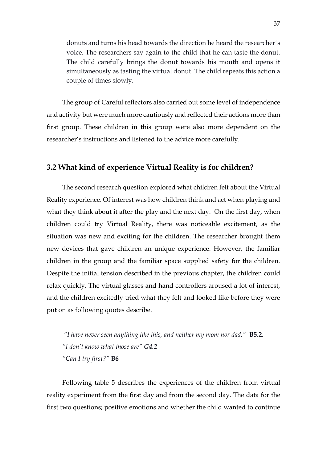donuts and turns his head towards the direction he heard the researcher´s voice. The researchers say again to the child that he can taste the donut. The child carefully brings the donut towards his mouth and opens it simultaneously as tasting the virtual donut. The child repeats this action a couple of times slowly.

The group of Careful reflectors also carried out some level of independence and activity but were much more cautiously and reflected their actions more than first group. These children in this group were also more dependent on the researcher's instructions and listened to the advice more carefully.

### <span id="page-36-0"></span>**3.2 What kind of experience Virtual Reality is for children?**

The second research question explored what children felt about the Virtual Reality experience. Of interest was how children think and act when playing and what they think about it after the play and the next day. On the first day, when children could try Virtual Reality, there was noticeable excitement, as the situation was new and exciting for the children. The researcher brought them new devices that gave children an unique experience. However, the familiar children in the group and the familiar space supplied safety for the children. Despite the initial tension described in the previous chapter, the children could relax quickly. The virtual glasses and hand controllers aroused a lot of interest, and the children excitedly tried what they felt and looked like before they were put on as following quotes describe.

*"I have never seen anything like this, and neither my mom nor dad,"* **B5.2.** *"I don't know what those are" G4.2 "Can I try first?"* **B6**

Following table 5 describes the experiences of the children from virtual reality experiment from the first day and from the second day. The data for the first two questions; positive emotions and whether the child wanted to continue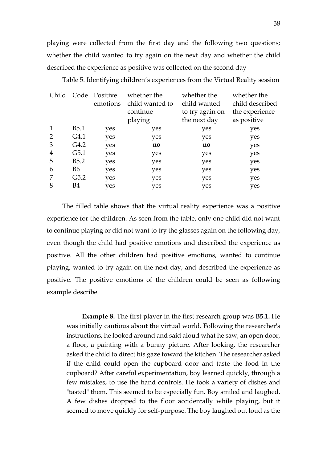playing were collected from the first day and the following two questions; whether the child wanted to try again on the next day and whether the child described the experience as positive was collected on the second day

| Child |                  | Code Positive | whether the     | whether the     | whether the     |
|-------|------------------|---------------|-----------------|-----------------|-----------------|
|       |                  | emotions      | child wanted to | child wanted    | child described |
|       |                  |               | continue        | to try again on | the experience  |
|       |                  |               | playing         | the next day    | as positive     |
|       | B <sub>5.1</sub> | yes           | yes             | yes             | yes             |
|       | G4.1             | yes           | yes             | yes             | yes             |
| 3     | G4.2             | yes           | no              | no              | yes             |
| 4     | G5.1             | yes           | yes             | yes             | yes             |
| 5     | B <sub>5.2</sub> | yes           | yes             | yes             | yes             |
| 6     | B6               | yes           | yes             | yes             | yes             |
|       | G5.2             | yes           | yes             | yes             | yes             |
| 8     | B4               | yes           | yes             | yes             | yes             |

Table 5. Identifying children´s experiences from the Virtual Reality session

The filled table shows that the virtual reality experience was a positive experience for the children. As seen from the table, only one child did not want to continue playing or did not want to try the glasses again on the following day, even though the child had positive emotions and described the experience as positive. All the other children had positive emotions, wanted to continue playing, wanted to try again on the next day, and described the experience as positive. The positive emotions of the children could be seen as following example describe

**Example 8.** The first player in the first research group was **B5.1.** He was initially cautious about the virtual world. Following the researcher's instructions, he looked around and said aloud what he saw, an open door, a floor, a painting with a bunny picture. After looking, the researcher asked the child to direct his gaze toward the kitchen. The researcher asked if the child could open the cupboard door and taste the food in the cupboard? After careful experimentation, boy learned quickly, through a few mistakes, to use the hand controls. He took a variety of dishes and "tasted" them. This seemed to be especially fun. Boy smiled and laughed. A few dishes dropped to the floor accidentally while playing, but it seemed to move quickly for self-purpose. The boy laughed out loud as the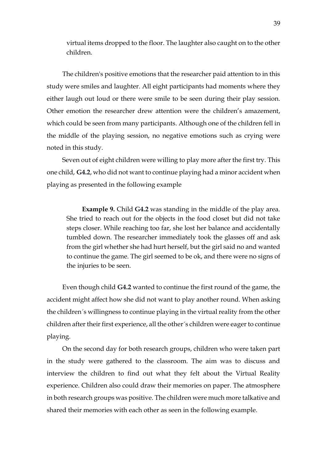virtual items dropped to the floor. The laughter also caught on to the other children.

The children's positive emotions that the researcher paid attention to in this study were smiles and laughter. All eight participants had moments where they either laugh out loud or there were smile to be seen during their play session. Other emotion the researcher drew attention were the children's amazement, which could be seen from many participants. Although one of the children fell in the middle of the playing session, no negative emotions such as crying were noted in this study.

Seven out of eight children were willing to play more after the first try. This one child, **G4.2**, who did not want to continue playing had a minor accident when playing as presented in the following example

**Example 9.** Child **G4.2** was standing in the middle of the play area. She tried to reach out for the objects in the food closet but did not take steps closer. While reaching too far, she lost her balance and accidentally tumbled down. The researcher immediately took the glasses off and ask from the girl whether she had hurt herself, but the girl said no and wanted to continue the game. The girl seemed to be ok, and there were no signs of the injuries to be seen.

Even though child **G4.2** wanted to continue the first round of the game, the accident might affect how she did not want to play another round. When asking the children´s willingness to continue playing in the virtual reality from the other children after their first experience, all the other´s children were eager to continue playing.

On the second day for both research groups, children who were taken part in the study were gathered to the classroom. The aim was to discuss and interview the children to find out what they felt about the Virtual Reality experience. Children also could draw their memories on paper. The atmosphere in both research groups was positive. The children were much more talkative and shared their memories with each other as seen in the following example.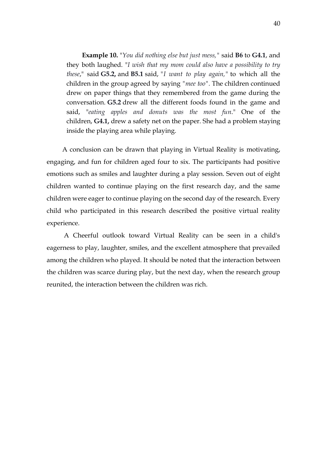**Example 10.** "*You did nothing else but just mess,"* said **B6** to **G4.1**, and they both laughed. "*I wish that my mom could also have a possibility to try these*," said **G5.2,** and **B5.1** said, *"I want to play again,"* to which all the children in the group agreed by saying *"mee too".* The children continued drew on paper things that they remembered from the game during the conversation. **G5.2** drew all the different foods found in the game and said, "*eating apples and donuts was the most fun*." One of the children, **G4.1,** drew a safety net on the paper. She had a problem staying inside the playing area while playing.

A conclusion can be drawn that playing in Virtual Reality is motivating, engaging, and fun for children aged four to six. The participants had positive emotions such as smiles and laughter during a play session. Seven out of eight children wanted to continue playing on the first research day, and the same children were eager to continue playing on the second day of the research. Every child who participated in this research described the positive virtual reality experience.

A Cheerful outlook toward Virtual Reality can be seen in a child's eagerness to play, laughter, smiles, and the excellent atmosphere that prevailed among the children who played. It should be noted that the interaction between the children was scarce during play, but the next day, when the research group reunited, the interaction between the children was rich.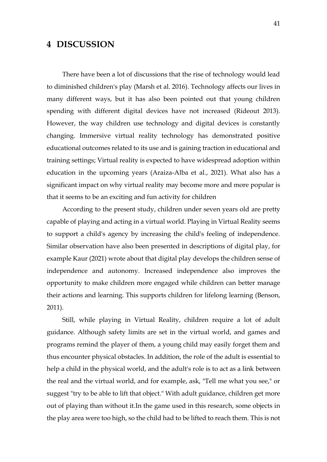# <span id="page-40-0"></span>**4 DISCUSSION**

There have been a lot of discussions that the rise of technology would lead to diminished children's play (Marsh et al. 2016). Technology affects our lives in many different ways, but it has also been pointed out that young children spending with different digital devices have not increased (Rideout 2013). However, the way children use technology and digital devices is constantly changing. Immersive virtual reality technology has demonstrated positive educational outcomes related to its use and is gaining traction in educational and training settings; Virtual reality is expected to have widespread adoption within education in the upcoming years (Araiza-Alba et al., 2021). What also has a significant impact on why virtual reality may become more and more popular is that it seems to be an exciting and fun activity for children

According to the present study, children under seven years old are pretty capable of playing and acting in a virtual world. Playing in Virtual Reality seems to support a child's agency by increasing the child's feeling of independence. Similar observation have also been presented in descriptions of digital play, for example Kaur (2021) wrote about that digital play develops the children sense of independence and autonomy. Increased independence also improves the opportunity to make children more engaged while children can better manage their actions and learning. This supports children for lifelong learning (Benson, 2011).

Still, while playing in Virtual Reality, children require a lot of adult guidance. Although safety limits are set in the virtual world, and games and programs remind the player of them, a young child may easily forget them and thus encounter physical obstacles. In addition, the role of the adult is essential to help a child in the physical world, and the adult's role is to act as a link between the real and the virtual world, and for example, ask, "Tell me what you see," or suggest "try to be able to lift that object." With adult guidance, children get more out of playing than without it.In the game used in this research, some objects in the play area were too high, so the child had to be lifted to reach them. This is not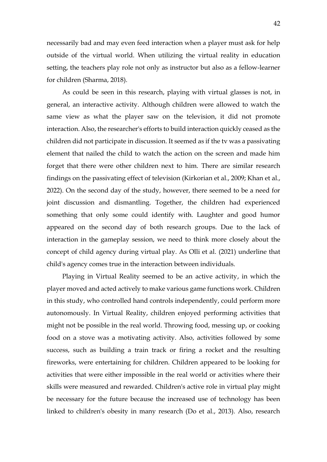necessarily bad and may even feed interaction when a player must ask for help outside of the virtual world. When utilizing the virtual reality in education setting, the teachers play role not only as instructor but also as a fellow-learner for children (Sharma, 2018).

As could be seen in this research, playing with virtual glasses is not, in general, an interactive activity. Although children were allowed to watch the same view as what the player saw on the television, it did not promote interaction. Also, the researcher's efforts to build interaction quickly ceased as the children did not participate in discussion. It seemed as if the tv was a passivating element that nailed the child to watch the action on the screen and made him forget that there were other children next to him. There are similar research findings on the passivating effect of television (Kirkorian et al., 2009; Khan et al., 2022). On the second day of the study, however, there seemed to be a need for joint discussion and dismantling. Together, the children had experienced something that only some could identify with. Laughter and good humor appeared on the second day of both research groups. Due to the lack of interaction in the gameplay session, we need to think more closely about the concept of child agency during virtual play. As Olli et al. (2021) underline that child's agency comes true in the interaction between individuals.

Playing in Virtual Reality seemed to be an active activity, in which the player moved and acted actively to make various game functions work. Children in this study, who controlled hand controls independently, could perform more autonomously. In Virtual Reality, children enjoyed performing activities that might not be possible in the real world. Throwing food, messing up, or cooking food on a stove was a motivating activity. Also, activities followed by some success, such as building a train track or firing a rocket and the resulting fireworks, were entertaining for children. Children appeared to be looking for activities that were either impossible in the real world or activities where their skills were measured and rewarded. Children's active role in virtual play might be necessary for the future because the increased use of technology has been linked to children's obesity in many research (Do et al., 2013). Also, research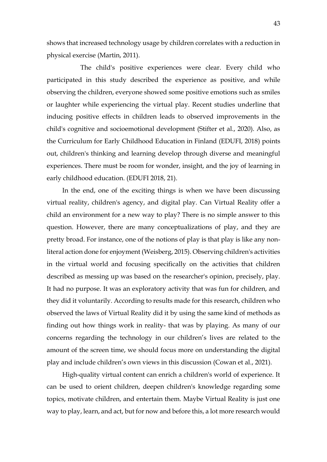shows that increased technology usage by children correlates with a reduction in physical exercise (Martin, 2011).

 The child's positive experiences were clear. Every child who participated in this study described the experience as positive, and while observing the children, everyone showed some positive emotions such as smiles or laughter while experiencing the virtual play. Recent studies underline that inducing positive effects in children leads to observed improvements in the child's cognitive and socioemotional development (Stifter et al., 2020). Also, as the Curriculum for Early Childhood Education in Finland (EDUFI, 2018) points out, children's thinking and learning develop through diverse and meaningful experiences. There must be room for wonder, insight, and the joy of learning in early childhood education. (EDUFI 2018, 21).

In the end, one of the exciting things is when we have been discussing virtual reality, children's agency, and digital play. Can Virtual Reality offer a child an environment for a new way to play? There is no simple answer to this question. However, there are many conceptualizations of play, and they are pretty broad. For instance, one of the notions of play is that play is like any nonliteral action done for enjoyment (Weisberg, 2015). Observing children's activities in the virtual world and focusing specifically on the activities that children described as messing up was based on the researcher's opinion, precisely, play. It had no purpose. It was an exploratory activity that was fun for children, and they did it voluntarily. According to results made for this research, children who observed the laws of Virtual Reality did it by using the same kind of methods as finding out how things work in reality- that was by playing. As many of our concerns regarding the technology in our children's lives are related to the amount of the screen time, we should focus more on understanding the digital play and include children's own views in this discussion (Cowan et al., 2021).

High-quality virtual content can enrich a children's world of experience. It can be used to orient children, deepen children's knowledge regarding some topics, motivate children, and entertain them. Maybe Virtual Reality is just one way to play, learn, and act, but for now and before this, a lot more research would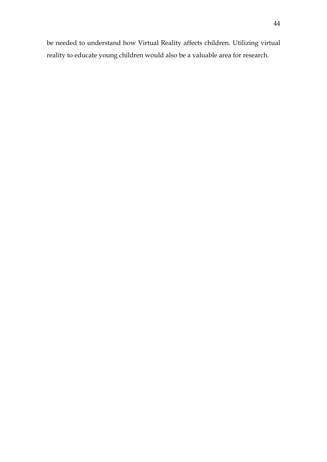be needed to understand how Virtual Reality affects children. Utilizing virtual reality to educate young children would also be a valuable area for research.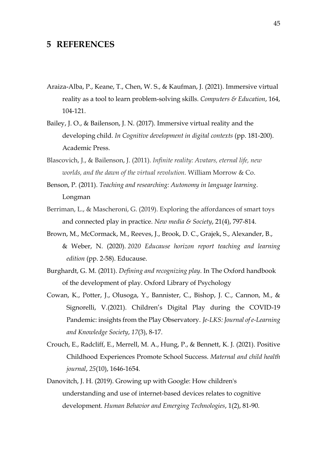### <span id="page-44-0"></span>**5 REFERENCES**

- Araiza-Alba, P., Keane, T., Chen, W. S., & Kaufman, J. (2021). Immersive virtual reality as a tool to learn problem-solving skills. *Computers & Education*, 164, 104-121.
- Bailey, J. O., & Bailenson, J. N. (2017). Immersive virtual reality and the developing child. *In Cognitive development in digital contexts* (pp. 181-200). Academic Press.
- Blascovich, J., & Bailenson, J. (2011). *Infinite reality: Avatars, eternal life, new worlds, and the dawn of the virtual revolution.* William Morrow & Co.
- Benson, P. (2011). *Teaching and researching: Autonomy in language learning*. Longman
- Berriman, L., & Mascheroni, G. (2019). Exploring the affordances of smart toys and connected play in practice. *New media & Society*, 21(4), 797-814.
- Brown, M., McCormack, M., Reeves, J., Brook, D. C., Grajek, S., Alexander, B., & Weber, N. (2020). *2020 Educause horizon report teaching and learning edition* (pp. 2-58). Educause.
- Burghardt, G. M. (2011). *Defining and recognizing play*. In The Oxford handbook of the development of play. Oxford Library of Psychology
- Cowan, K., Potter, J., Olusoga, Y., Bannister, C., Bishop, J. C., Cannon, M., & Signorelli, V.(2021). Children's Digital Play during the COVID-19 Pandemic: insights from the Play Observatory. *Je-LKS: Journal of e-Learning and Knowledge Society*, *17*(3), 8-17.
- Crouch, E., Radcliff, E., Merrell, M. A., Hung, P., & Bennett, K. J. (2021). Positive Childhood Experiences Promote School Success. *Maternal and child health journal*, *25*(10), 1646-1654.
- Danovitch, J. H. (2019). Growing up with Google: How children's understanding and use of internet‐based devices relates to cognitive development. *Human Behavior and Emerging Technologies*, 1(2), 81-90.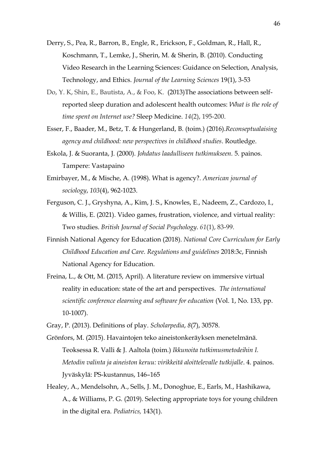- Derry, S., Pea, R., Barron, B., Engle, R., Erickson, F., Goldman, R., Hall, R., Koschmann, T., Lemke, J., Sherin, M. & Sherin, B. (2010). Conducting Video Research in the Learning Sciences: Guidance on Selection, Analysis, Technology, and Ethics. *Journal of the Learning Sciences* 19(1), 3-53
- Do, Y. K, Shin, E., Bautista, A., & Foo, K. (2013)The associations between selfreported sleep duration and adolescent health outcomes: *What is the role of time spent on Internet use?* Sleep Medicine. *14*(2), 195-200.
- Esser, F., Baader, M., Betz, T. & Hungerland, B. (toim.) (2016).*Reconseptualaising agency and childhood: new perspectives in childhood studies*. Routledge.
- Eskola, J. & Suoranta, J. (2000). *Johdatus laadulliseen tutkimukseen.* 5. painos. Tampere: Vastapaino
- Emirbayer, M., & Mische, A. (1998). What is agency?. *American journal of sociology*, *103*(4), 962-1023.
- Ferguson, C. J., Gryshyna, A., Kim, J. S., Knowles, E., Nadeem, Z., Cardozo, I., & Willis, E. (2021). Video games, frustration, violence, and virtual reality: Two studies. *British Journal of Social Psychology*. *61*(1), 83-99.
- Finnish National Agency for Education (2018). *National Core Curriculum for Early Childhood Education and Care. Regulations and guidelines* 2018:3c, Finnish National Agency for Education.
- Freina, L., & Ott, M. (2015, April). A literature review on immersive virtual reality in education: state of the art and perspectives. *The international scientific conference elearning and software for education* (Vol. 1, No. 133, pp. 10-1007).
- Gray, P. (2013). Definitions of play. *Scholarpedia*, *8*(7), 30578.
- Grönfors, M. (2015). Havaintojen teko aineistonkeräyksen menetelmänä. Teoksessa R. Valli & J. Aaltola (toim.) *Ikkunoita tutkimusmetodeihin I. Metodin valinta ja aineiston keruu: virikkeitä aloittelevalle tutkijalle*. 4. painos. Jyväskylä: PS-kustannus, 146–165
- Healey, A., Mendelsohn, A., Sells, J. M., Donoghue, E., Earls, M., Hashikawa, A., & Williams, P. G. (2019). Selecting appropriate toys for young children in the digital era. *Pediatrics,* 143(1).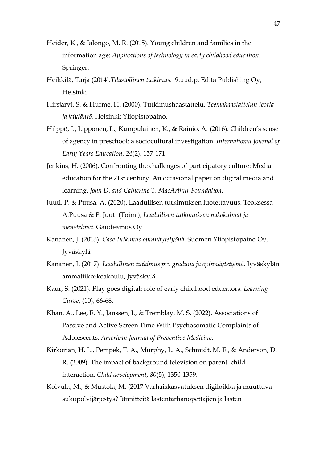- Heider, K., & Jalongo, M. R. (2015). Young children and families in the information age: *Applications of technology in early childhood education.* Springer.
- Heikkilä, Tarja (2014).*Tilastollinen tutkimus.* 9.uud.p. Edita Publishing Oy, Helsinki
- Hirsjärvi, S. & Hurme, H. (2000). Tutkimushaastattelu. *Teemahaastattelun teoria ja käytäntö.* Helsinki: Yliopistopaino.
- Hilppö, J., Lipponen, L., Kumpulainen, K., & Rainio, A. (2016). Children's sense of agency in preschool: a sociocultural investigation. *International Journal of Early Years Education*, *24*(2), 157-171.
- Jenkins, H. (2006). Confronting the challenges of participatory culture: Media education for the 21st century. An occasional paper on digital media and learning. *John D. and Catherine T. MacArthur Foundation*.
- Juuti, P. & Puusa, A. (2020). Laadullisen tutkimuksen luotettavuus. Teoksessa A.Puusa & P. Juuti (Toim.), *Laadullisen tutkimuksen näkökulmat ja menetelmät.* Gaudeamus Oy.
- Kananen, J. (2013) *Case-tutkimus opinnäytetyönä*. Suomen Yliopistopaino Oy, Jyväskylä
- Kananen, J. (2017) *Laadullinen tutkimus pro graduna ja opinnäytetyönä*. Jyväskylän ammattikorkeakoulu, Jyväskylä.
- Kaur, S. (2021). Play goes digital: role of early childhood educators. *Learning Curve*, (10), 66-68.
- Khan, A., Lee, E. Y., Janssen, I., & Tremblay, M. S. (2022). Associations of Passive and Active Screen Time With Psychosomatic Complaints of Adolescents. *American Journal of Preventive Medicine*.
- Kirkorian, H. L., Pempek, T. A., Murphy, L. A., Schmidt, M. E., & Anderson, D. R. (2009). The impact of background television on parent–child interaction. *Child development*, *80*(5), 1350-1359.
- Koivula, M., & Mustola, M. (2017 Varhaiskasvatuksen digiloikka ja muuttuva sukupolvijärjestys? Jännitteitä lastentarhanopettajien ja lasten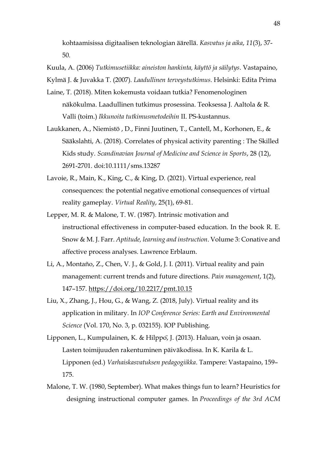kohtaamisissa digitaalisen teknologian äärellä. *Kasvatus ja aika*, *11*(3), 37- 50.

Kuula, A. (2006) *Tutkimusetiikka: aineiston hankinta, käyttö ja säilytys*. Vastapaino,

Kylmä J. & Juvakka T. (2007)*. Laadullinen terveystutkimus*. Helsinki: Edita Prima

- Laine, T. (2018). Miten kokemusta voidaan tutkia? Fenomenologinen näkökulma. Laadullinen tutkimus prosessina. Teoksessa J. Aaltola & R. Valli (toim.) *Ikkunoita tutkimusmetodeihin* II. PS-kustannus.
- Laukkanen, A., Niemistö , D., Finni Juutinen, T., Cantell, M., Korhonen, E., & Sääkslahti, A. (2018). Correlates of physical activity parenting : The Skilled Kids study*. Scandinavian Journal of Medicine and Science in Sports*, 28 (12), 2691-2701. doi:10.1111/sms.13287
- Lavoie, R., Main, K., King, C., & King, D. (2021). Virtual experience, real consequences: the potential negative emotional consequences of virtual reality gameplay. *Virtual Reality*, 25(1), 69-81.
- Lepper, M. R. & Malone, T. W. (1987). Intrinsic motivation and instructional effectiveness in computer-based education. In the book R. E. Snow & M. J. Farr. *Aptitude, learning and instruction*. Volume 3: Conative and affective process analyses. Lawrence Erblaum.
- Li, A., Montaño, Z., Chen, V. J., & Gold, J. I. (2011). Virtual reality and pain management: current trends and future directions. *Pain management*, 1(2), 147–157.<https://doi.org/10.2217/pmt.10.15>
- Liu, X., Zhang, J., Hou, G., & Wang, Z. (2018, July). Virtual reality and its application in military. In *IOP Conference Series: Earth and Environmental Science* (Vol. 170, No. 3, p. 032155). IOP Publishing.
- Lipponen, L., Kumpulainen, K. & Hilppö, J. (2013). Haluan, voin ja osaan. Lasten toimijuuden rakentuminen päiväkodissa. In K. Karila & L. Lipponen (ed.) *Varhaiskasvatuksen pedagogiikka*. Tampere: Vastapaino, 159– 175.
- Malone, T. W. (1980, September). What makes things fun to learn? Heuristics for designing instructional computer games. In *Proceedings of the 3rd ACM*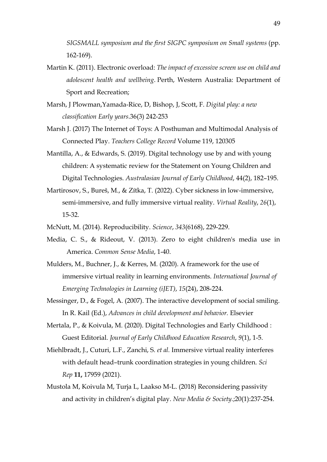*SIGSMALL symposium and the first SIGPC symposium on Small systems* (pp. 162-169).

- Martin K. (2011). Electronic overload: *The impact of excessive screen use on child and adolescent health and wellbeing*. Perth, Western Australia: Department of Sport and Recreation;
- Marsh, J Plowman,Yamada-Rice, D, Bishop, J, Scott, F. *Digital play: a new classification Early years*.36(3) 242-253
- Marsh J. (2017) The Internet of Toys: A Posthuman and Multimodal Analysis of Connected Play. *Teachers College Record* Volume 119, 120305
- Mantilla, A., & Edwards, S. (2019). Digital technology use by and with young children: A systematic review for the Statement on Young Children and Digital Technologies. *Australasian Journal of Early Childhood*, 44(2), 182–195.
- Martirosov, S., Bureš, M., & Zítka, T. (2022). Cyber sickness in low-immersive, semi-immersive, and fully immersive virtual reality. *Virtual Reality*, *26*(1), 15-32.
- McNutt, M. (2014). Reproducibility. *Science*, *343*(6168), 229-229.
- Media, C. S., & Rideout, V. (2013). Zero to eight children's media use in America. *Common Sense Media*, 1-40.
- Mulders, M., Buchner, J., & Kerres, M. (2020). A framework for the use of immersive virtual reality in learning environments. *International Journal of Emerging Technologies in Learning (iJET)*, *15*(24), 208-224.
- Messinger, D., & Fogel, A. (2007). The interactive development of social smiling. In R. Kail (Ed.), *Advances in child development and behavior.* Elsevier
- Mertala, P., & Koivula, M. (2020). Digital Technologies and Early Childhood : Guest Editorial. *Journal of Early Childhood Education Research*, *9*(1), 1-5.
- Miehlbradt, J., Cuturi, L.F., Zanchi, S. *et al.* Immersive virtual reality interferes with default head–trunk coordination strategies in young children. *Sci Rep* **11,** 17959 (2021).
- Mustola M, Koivula M, Turja L, Laakso M-L. (2018) Reconsidering passivity and activity in children's digital play. *New Media & Society.*;20(1):237-254.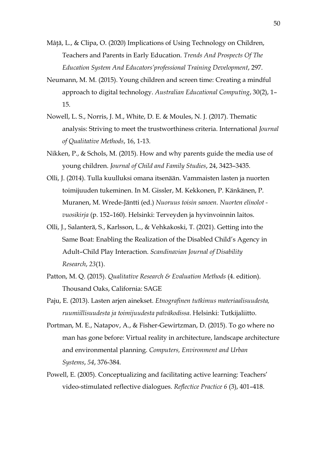- Mâţă, L., & Clipa, O. (2020) Implications of Using Technology on Children, Teachers and Parents in Early Education. *Trends And Prospects Of The Education System And Educators'professional Training Development*, 297.
- Neumann, M. M. (2015). Young children and screen time: Creating a mindful approach to digital technology. *Australian Educational Computing*, 30(2), 1– 15.
- Nowell, L. S., Norris, J. M., White, D. E. & Moules, N. J. (2017). Thematic analysis: Striving to meet the trustworthiness criteria. International *Journal of Qualitative Methods*, 16, 1-13.
- Nikken, P., & Schols, M. (2015). How and why parents guide the media use of young children. *Journal of Child and Family Studies*, 24, 3423–3435.
- Olli, J. (2014). Tulla kuulluksi omana itsenään. Vammaisten lasten ja nuorten toimijuuden tukeminen. In M. Gissler, M. Kekkonen, P. Känkänen, P. Muranen, M. Wrede-Jäntti (ed.) *Nuoruus toisin sanoen. Nuorten elinolot vuosikirja* (p. 152–160). Helsinki: Terveyden ja hyvinvoinnin laitos.
- Olli, J., Salanterä, S., Karlsson, L., & Vehkakoski, T. (2021). Getting into the Same Boat: Enabling the Realization of the Disabled Child's Agency in Adult–Child Play Interaction. *Scandinavian Journal of Disability Research*, *23*(1).
- Patton, M. Q. (2015). *Qualitative Research & Evaluation Methods* (4. edition). Thousand Oaks, California: SAGE
- Paju, E. (2013). Lasten arjen ainekset. *Etnografinen tutkimus materiaalisuudesta, ruumiillisuudesta ja toimijuudesta päiväkodissa*. Helsinki: Tutkijaliitto.
- Portman, M. E., Natapov, A., & Fisher-Gewirtzman, D. (2015). To go where no man has gone before: Virtual reality in architecture, landscape architecture and environmental planning. *Computers, Environment and Urban Systems*, *54*, 376-384.
- Powell, E. (2005). Conceptualizing and facilitating active learning: Teachers' video-stimulated reflective dialogues. *Reflectice Practice 6* (3), 401–418.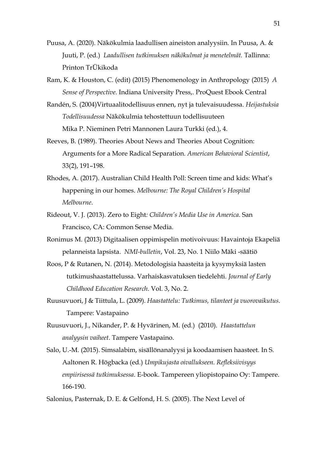- Puusa, A. (2020). Näkökulmia laadullisen aineiston analyysiin. In Puusa, A. & Juuti, P. (ed.) *Laadullisen tutkimuksen näkökulmat ja menetelmät.* Tallinna: Printon TrÜkikoda
- Ram, K. & Houston, C. (edit) (2015) Phenomenology in Anthropology (2015) *A Sense of Perspective.* Indiana University Press,. ProQuest Ebook Central
- Randén, S. (2004)Virtuaalitodellisuus ennen, nyt ja tulevaisuudessa. *Heijastuksia Todellisuudessa* Näkökulmia tehostettuun todellisuuteen Mika P. Nieminen Petri Mannonen Laura Turkki (ed.), 4.
- Reeves, B. (1989). Theories About News and Theories About Cognition: Arguments for a More Radical Separation. *American Behavioral Scientist*, 33(2), 191–198.
- Rhodes, A. (2017). Australian Child Health Poll: Screen time and kids: What's happening in our homes. *Melbourne: The Royal Children's Hospital Melbourne*.
- Rideout, V. J. (2013). Zero to Eight*: Children's Media Use in America*. San Francisco, CA: Common Sense Media.
- Ronimus M. (2013) Digitaalisen oppimispelin motivoivuus: Havaintoja Ekapeliä pelanneista lapsista. *NMI-bulletin*, Vol. 23, No. 1 Niilo Mäki -säätiö
- Roos, P & Rutanen, N. (2014). Metodologisia haasteita ja kysymyksiä lasten tutkimushaastattelussa. Varhaiskasvatuksen tiedelehti. *Journal of Early Childhood Education Research*. Vol. 3, No. 2.
- Ruusuvuori, J & Tiittula, L. (2009). *Haastattelu: Tutkimus, tilanteet ja vuorovaikutus*. Tampere: Vastapaino
- Ruusuvuori, J., Nikander, P. & Hyvärinen, M. (ed.) (2010). *Haastattelun analyysin vaiheet*. Tampere Vastapaino.
- Salo, U.-M. (2015). Simsalabim, sisällönanalyysi ja koodaamisen haasteet. In S. Aaltonen R. Högbacka (ed.) *Umpikujasta oivallukseen. Refleksiivisyys empiirisessä tutkimuksessa*. E-book. Tampereen yliopistopaino Oy: Tampere. 166-190.

Salonius, Pasternak, D. E. & Gelfond, H. S. (2005). The Next Level of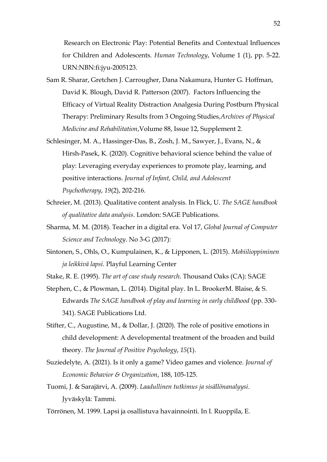Research on Electronic Play: Potential Benefits and Contextual Influences for Children and Adolescents*. Human Technology*, Volume 1 (1), pp. 5-22. URN:NBN:fi:jyu-2005123.

- Sam R. Sharar, Gretchen J. Carrougher, Dana Nakamura, Hunter G. Hoffman, David K. Blough, David R. Patterson (2007). Factors Influencing the Efficacy of Virtual Reality Distraction Analgesia During Postburn Physical Therapy: Preliminary Results from 3 Ongoing Studies*,Archives of Physical Medicine and Rehabilitation*,Volume 88, Issue 12, Supplement 2.
- Schlesinger, M. A., Hassinger-Das, B., Zosh, J. M., Sawyer, J., Evans, N., & Hirsh-Pasek, K. (2020). Cognitive behavioral science behind the value of play: Leveraging everyday experiences to promote play, learning, and positive interactions. *Journal of Infant, Child, and Adolescent Psychotherapy*, *19*(2), 202-216.
- Schreier, M. (2013). Qualitative content analysis. In Flick, U. *The SAGE handbook of qualitative data analysis*. London: SAGE Publications.
- Sharma, M. M. (2018). Teacher in a digital era. Vol 17, *Global Journal of Computer Science and Technology*. No 3-G (2017):
- Sintonen, S., Ohls, O., Kumpulainen, K., & Lipponen, L. (2015). *Mobiilioppiminen ja leikkivä lapsi.* Playful Learning Center
- Stake, R. E. (1995). *The art of case study research.* Thousand Oaks (CA): SAGE
- Stephen, C., & Plowman, L. (2014). Digital play. In L. BrookerM. Blaise, & S. Edwards *The SAGE handbook of play and learning in early childhood* (pp. 330- 341). SAGE Publications Ltd.
- Stifter, C., Augustine, M., & Dollar, J. (2020). The role of positive emotions in child development: A developmental treatment of the broaden and build theory. *The Journal of Positive Psychology*, *15*(1).
- Suziedelyte, A. (2021). Is it only a game? Video games and violence. *Journal of Economic Behavior & Organization*, 188, 105-125.
- Tuomi, J. & Sarajärvi, A. (2009). *Laadullinen tutkimus ja sisällönanalyysi*. Jyväskylä: Tammi.
- Törrönen, M. 1999. Lapsi ja osallistuva havainnointi. In I. Ruoppila, E.